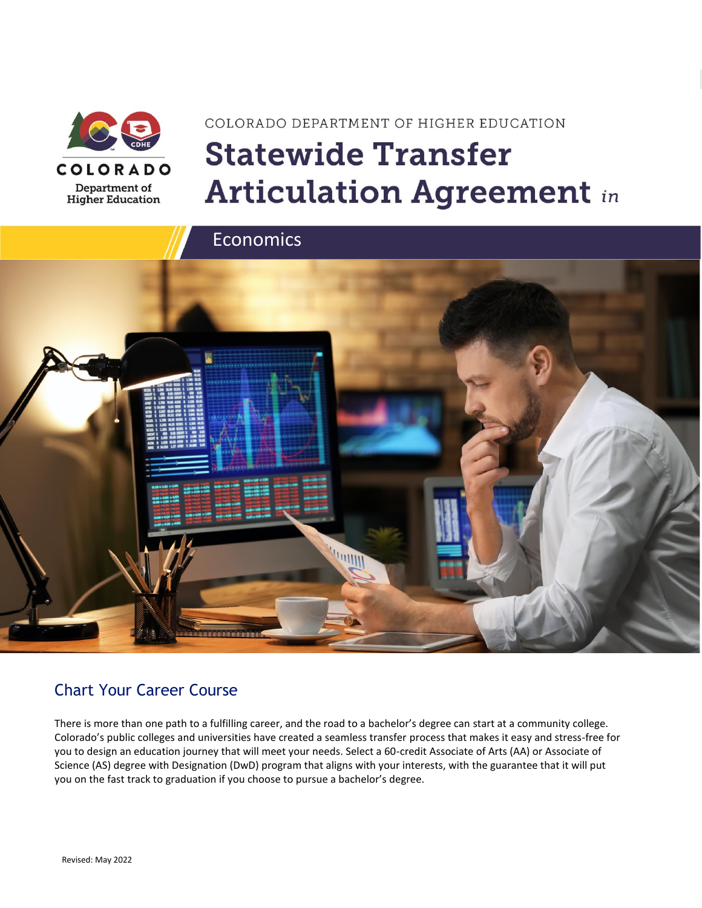

**Higher Education** 

# COLORADO DEPARTMENT OF HIGHER EDUCATION **Statewide Transfer Articulation Agreement in**



### Chart Your Career Course

There is more than one path to a fulfilling career, and the road to a bachelor's degree can start at a community college. Colorado's public colleges and universities have created a seamless transfer process that makes it easy and stress-free for you to design an education journey that will meet your needs. Select a 60-credit Associate of Arts (AA) or Associate of Science (AS) degree with Designation (DwD) program that aligns with your interests, with the guarantee that it will put you on the fast track to graduation if you choose to pursue a bachelor's degree.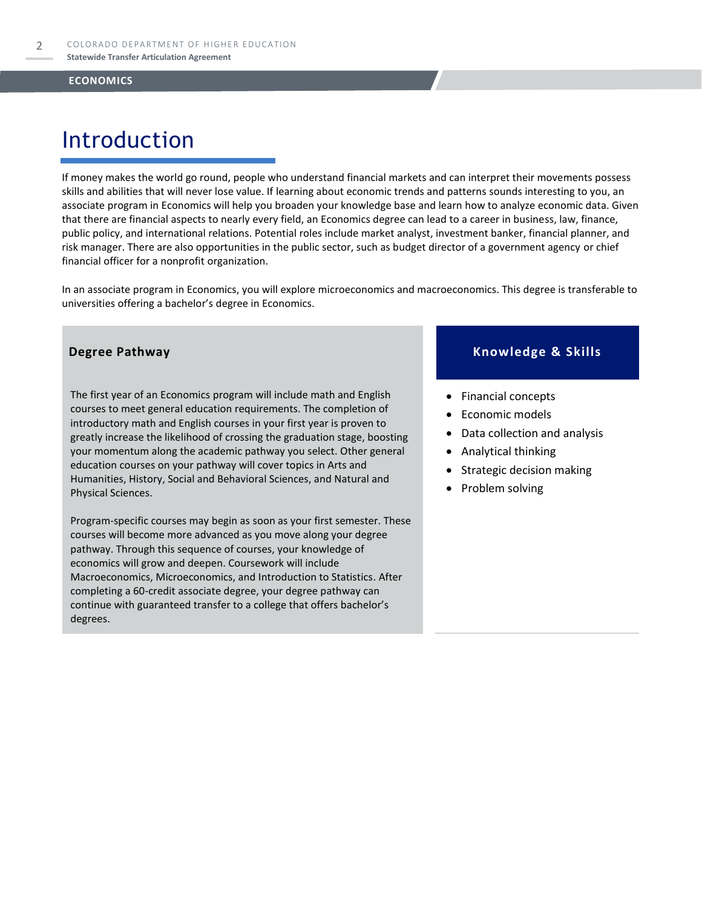# Introduction

If money makes the world go round, people who understand financial markets and can interpret their movements possess skills and abilities that will never lose value. If learning about economic trends and patterns sounds interesting to you, an associate program in Economics will help you broaden your knowledge base and learn how to analyze economic data. Given that there are financial aspects to nearly every field, an Economics degree can lead to a career in business, law, finance, public policy, and international relations. Potential roles include market analyst, investment banker, financial planner, and risk manager. There are also opportunities in the public sector, such as budget director of a government agency or chief financial officer for a nonprofit organization.

In an associate program in Economics, you will explore microeconomics and macroeconomics. This degree is transferable to universities offering a bachelor's degree in Economics.

The first year of an Economics program will include math and English courses to meet general education requirements. The completion of introductory math and English courses in your first year is proven to greatly increase the likelihood of crossing the graduation stage, boosting your momentum along the academic pathway you select. Other general education courses on your pathway will cover topics in Arts and Humanities, History, Social and Behavioral Sciences, and Natural and Physical Sciences.

Program-specific courses may begin as soon as your first semester. These courses will become more advanced as you move along your degree pathway. Through this sequence of courses, your knowledge of economics will grow and deepen. Coursework will include Macroeconomics, Microeconomics, and Introduction to Statistics. After completing a 60-credit associate degree, your degree pathway can continue with guaranteed transfer to a college that offers bachelor's degrees.

#### **Degree Pathway Knowledge & Skills**

- Financial concepts
- Economic models
- Data collection and analysis
- Analytical thinking
- Strategic decision making
- Problem solving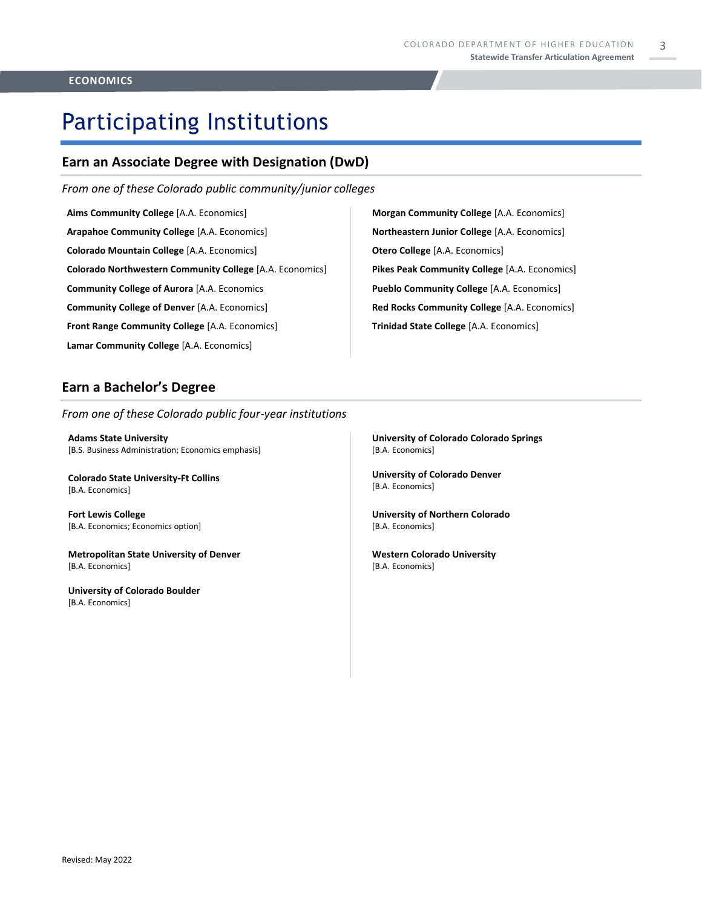3

# Participating Institutions

#### **Earn an Associate Degree with Designation (DwD)**

*From one of these Colorado public community/junior colleges*

**Aims Community College** [A.A. Economics] **Arapahoe Community College** [A.A. Economics] **Colorado Mountain College** [A.A. Economics] **Colorado Northwestern Community College** [A.A. Economics] **Community College of Aurora** [A.A. Economics **Community College of Denver** [A.A. Economics] **Front Range Community College** [A.A. Economics] **Lamar Community College** [A.A. Economics]

**Morgan Community College** [A.A. Economics] **Northeastern Junior College** [A.A. Economics] **Otero College** [A.A. Economics] **Pikes Peak Community College** [A.A. Economics] **Pueblo Community College** [A.A. Economics] **Red Rocks Community College** [A.A. Economics] **Trinidad State College** [A.A. Economics]

### **Earn a Bachelor's Degree**

*From one of these Colorado public four-year institutions*

**Adams State University**  [B.S. Business Administration; Economics emphasis]

**Colorado State University-Ft Collins**  [B.A. Economics]

**Fort Lewis College**  [B.A. Economics; Economics option]

**Metropolitan State University of Denver**  [B.A. Economics]

**University of Colorado Boulder**  [B.A. Economics]

**University of Colorado Colorado Springs** [B.A. Economics]

**University of Colorado Denver** [B.A. Economics]

**University of Northern Colorado** [B.A. Economics]

**Western Colorado University** [B.A. Economics]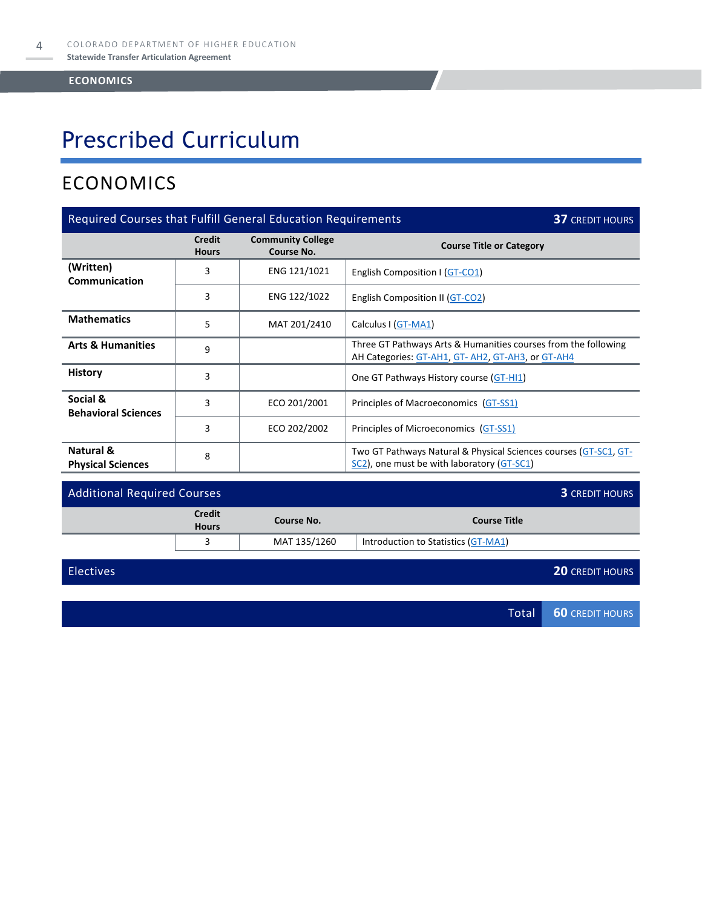# Prescribed Curriculum

### ECONOMICS

| Required Courses that Fulfill General Education Requirements<br><b>37 CREDIT HOURS</b> |                                                      |                                        |                                                                                                                    |  |
|----------------------------------------------------------------------------------------|------------------------------------------------------|----------------------------------------|--------------------------------------------------------------------------------------------------------------------|--|
|                                                                                        | <b>Credit</b><br><b>Hours</b>                        | <b>Community College</b><br>Course No. | <b>Course Title or Category</b>                                                                                    |  |
| (Written)<br>Communication                                                             | 3                                                    | ENG 121/1021                           | English Composition I (GT-CO1)                                                                                     |  |
|                                                                                        | 3<br>ENG 122/1022<br>English Composition II (GT-CO2) |                                        |                                                                                                                    |  |
| <b>Mathematics</b>                                                                     | 5                                                    | MAT 201/2410                           | Calculus I (GT-MA1)                                                                                                |  |
| <b>Arts &amp; Humanities</b>                                                           | 9                                                    |                                        | Three GT Pathways Arts & Humanities courses from the following<br>AH Categories: GT-AH1, GT-AH2, GT-AH3, or GT-AH4 |  |
| <b>History</b>                                                                         | 3                                                    |                                        | One GT Pathways History course (GT-HI1)                                                                            |  |
| Social &<br><b>Behavioral Sciences</b>                                                 | 3                                                    | ECO 201/2001                           | Principles of Macroeconomics (GT-SS1)                                                                              |  |
|                                                                                        | 3                                                    | ECO 202/2002                           | Principles of Microeconomics (GT-SS1)                                                                              |  |
| Natural &<br><b>Physical Sciences</b>                                                  | 8                                                    |                                        | Two GT Pathways Natural & Physical Sciences courses (GT-SC1, GT-<br>SC2), one must be with laboratory (GT-SC1)     |  |

| <b>Additional Required Courses</b> |                               |              |                                     | <b>3 CREDIT HOURS</b> |
|------------------------------------|-------------------------------|--------------|-------------------------------------|-----------------------|
|                                    | <b>Credit</b><br><b>Hours</b> | Course No.   | <b>Course Title</b>                 |                       |
|                                    |                               | MAT 135/1260 | Introduction to Statistics (GT-MA1) |                       |

| <b>Electives</b> | <b>20 CREDIT HOURS</b> |
|------------------|------------------------|
|                  |                        |
|                  | Total 60 CREDIT HOURS  |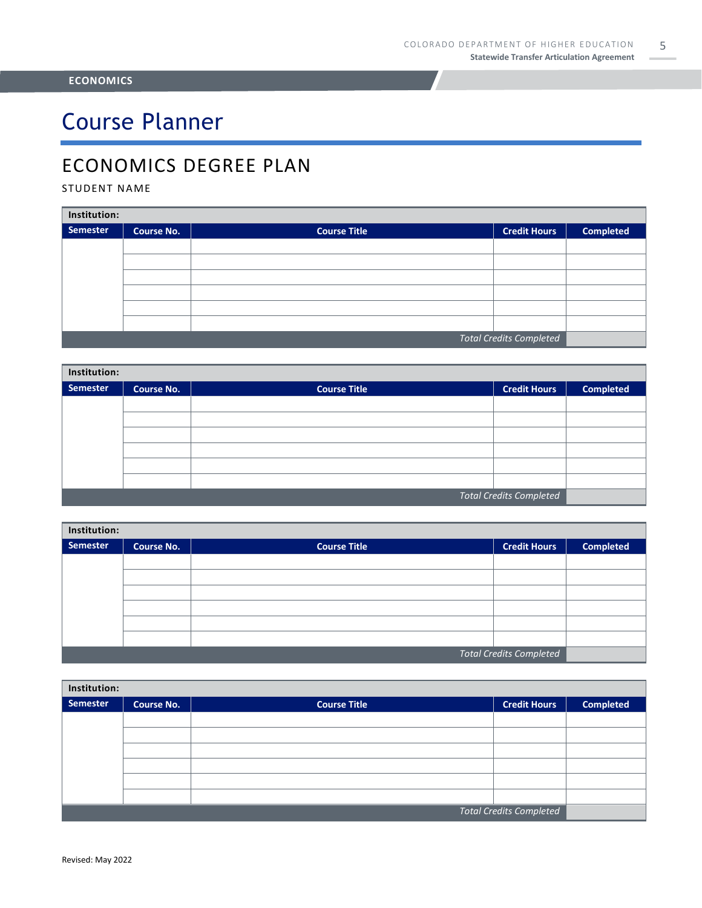# Course Planner

### ECONOMICS DEGREE PLAN

#### STUDENT NAME

| Institution:                   |                   |                     |                     |                  |  |  |
|--------------------------------|-------------------|---------------------|---------------------|------------------|--|--|
| Semester                       | <b>Course No.</b> | <b>Course Title</b> | <b>Credit Hours</b> | <b>Completed</b> |  |  |
|                                |                   |                     |                     |                  |  |  |
|                                |                   |                     |                     |                  |  |  |
|                                |                   |                     |                     |                  |  |  |
|                                |                   |                     |                     |                  |  |  |
|                                |                   |                     |                     |                  |  |  |
|                                |                   |                     |                     |                  |  |  |
| <b>Total Credits Completed</b> |                   |                     |                     |                  |  |  |

| Institution:                   |                   |                     |                     |                  |  |  |
|--------------------------------|-------------------|---------------------|---------------------|------------------|--|--|
| <b>Semester</b>                | <b>Course No.</b> | <b>Course Title</b> | <b>Credit Hours</b> | <b>Completed</b> |  |  |
|                                |                   |                     |                     |                  |  |  |
|                                |                   |                     |                     |                  |  |  |
|                                |                   |                     |                     |                  |  |  |
|                                |                   |                     |                     |                  |  |  |
|                                |                   |                     |                     |                  |  |  |
|                                |                   |                     |                     |                  |  |  |
| <b>Total Credits Completed</b> |                   |                     |                     |                  |  |  |

| Institution:                   |                   |                     |                     |                  |  |
|--------------------------------|-------------------|---------------------|---------------------|------------------|--|
| Semester                       | <b>Course No.</b> | <b>Course Title</b> | <b>Credit Hours</b> | <b>Completed</b> |  |
|                                |                   |                     |                     |                  |  |
|                                |                   |                     |                     |                  |  |
|                                |                   |                     |                     |                  |  |
|                                |                   |                     |                     |                  |  |
|                                |                   |                     |                     |                  |  |
|                                |                   |                     |                     |                  |  |
| <b>Total Credits Completed</b> |                   |                     |                     |                  |  |

| Institution:                   |                   |                     |                     |                  |  |
|--------------------------------|-------------------|---------------------|---------------------|------------------|--|
| Semester                       | <b>Course No.</b> | <b>Course Title</b> | <b>Credit Hours</b> | <b>Completed</b> |  |
|                                |                   |                     |                     |                  |  |
|                                |                   |                     |                     |                  |  |
|                                |                   |                     |                     |                  |  |
|                                |                   |                     |                     |                  |  |
|                                |                   |                     |                     |                  |  |
|                                |                   |                     |                     |                  |  |
| <b>Total Credits Completed</b> |                   |                     |                     |                  |  |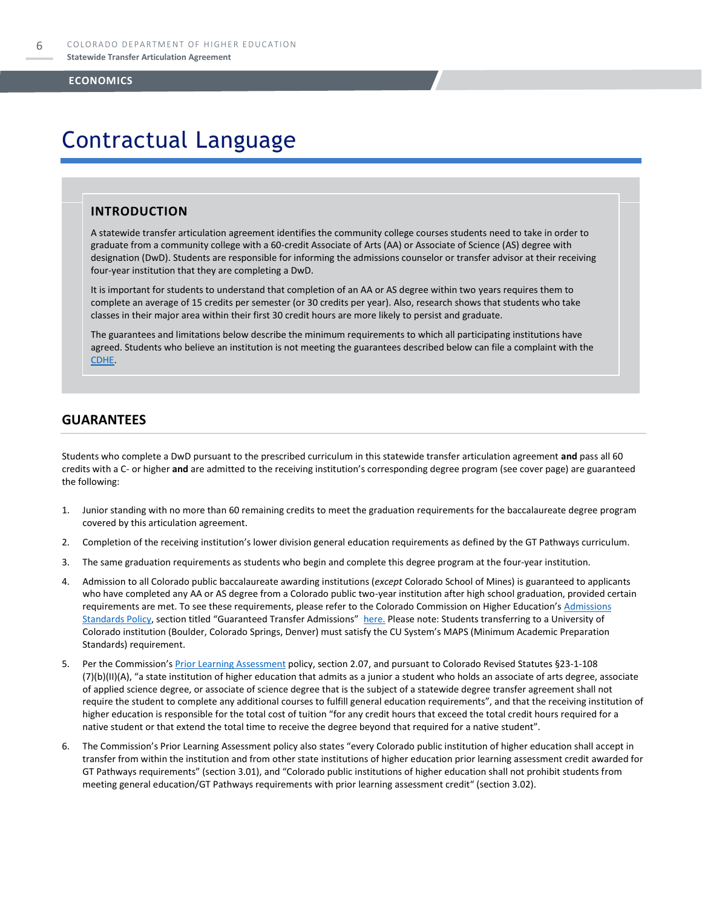## Contractual Language

#### **INTRODUCTION**

A statewide transfer articulation agreement identifies the community college courses students need to take in order to graduate from a community college with a 60-credit Associate of Arts (AA) or Associate of Science (AS) degree with designation (DwD). Students are responsible for informing the admissions counselor or transfer advisor at their receiving four-year institution that they are completing a DwD.

It is important for students to understand that completion of an AA or AS degree within two years requires them to complete an average of 15 credits per semester (or 30 credits per year). Also, research shows that students who take classes in their major area within their first 30 credit hours are more likely to persist and graduate.

The guarantees and limitations below describe the minimum requirements to which all participating institutions have agreed. Students who believe an institution is not meeting the guarantees described below can file a complaint with the [CDHE.](https://highered.colorado.gov/filing-student-complaint)

#### **GUARANTEES**

Students who complete a DwD pursuant to the prescribed curriculum in this statewide transfer articulation agreement **and** pass all 60 credits with a C- or higher **and** are admitted to the receiving institution's corresponding degree program (see cover page) are guaranteed the following:

- 1. Junior standing with no more than 60 remaining credits to meet the graduation requirements for the baccalaureate degree program covered by this articulation agreement.
- 2. Completion of the receiving institution's lower division general education requirements as defined by the GT Pathways curriculum.
- 3. The same graduation requirements as students who begin and complete this degree program at the four-year institution.
- 4. Admission to all Colorado public baccalaureate awarding institutions (*except* Colorado School of Mines) is guaranteed to applicants who have completed any AA or AS degree from a Colorado public two-year institution after high school graduation, provided certain requirements are met. To see these requirements, please refer to the Colorado Commission on Higher Education's Admissions [Standards Policy](https://highered.colorado.gov/sites/highered/files/2020-03/i-partf_0.pdf), section titled "Guaranteed Transfer Admissions" [here.](https://highered.colorado.gov/educators/policy-funding/cche-policies-procedures) Please note: Students transferring to a University of Colorado institution (Boulder, Colorado Springs, Denver) must satisfy the CU System's MAPS (Minimum Academic Preparation Standards) requirement.
- 5. Per the Commission's [Prior Learning Assessment](https://highered.colorado.gov/sites/highered/files/2020-03/i-partx.pdf) policy, section 2.07, and pursuant to Colorado Revised Statutes §23-1-108 (7)(b)(II)(A), "a state institution of higher education that admits as a junior a student who holds an associate of arts degree, associate of applied science degree, or associate of science degree that is the subject of a statewide degree transfer agreement shall not require the student to complete any additional courses to fulfill general education requirements", and that the receiving institution of higher education is responsible for the total cost of tuition "for any credit hours that exceed the total credit hours required for a native student or that extend the total time to receive the degree beyond that required for a native student".
- 6. The Commission's Prior Learning Assessment policy also states "every Colorado public institution of higher education shall accept in transfer from within the institution and from other state institutions of higher education prior learning assessment credit awarded for GT Pathways requirements" (section 3.01), and "Colorado public institutions of higher education shall not prohibit students from meeting general education/GT Pathways requirements with prior learning assessment credit" (section 3.02).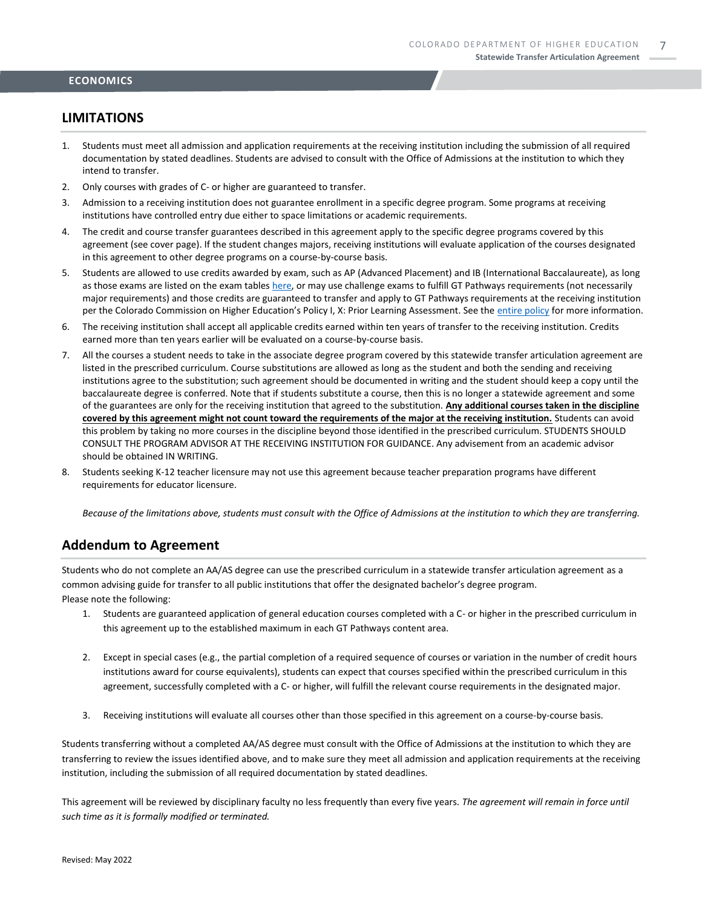#### **LIMITATIONS**

- 1. Students must meet all admission and application requirements at the receiving institution including the submission of all required documentation by stated deadlines. Students are advised to consult with the Office of Admissions at the institution to which they intend to transfer.
- 2. Only courses with grades of C- or higher are guaranteed to transfer.
- 3. Admission to a receiving institution does not guarantee enrollment in a specific degree program. Some programs at receiving institutions have controlled entry due either to space limitations or academic requirements.
- 4. The credit and course transfer guarantees described in this agreement apply to the specific degree programs covered by this agreement (see cover page). If the student changes majors, receiving institutions will evaluate application of the courses designated in this agreement to other degree programs on a course-by-course basis.
- 5. Students are allowed to use credits awarded by exam, such as AP (Advanced Placement) and IB (International Baccalaureate), as long as those exams are listed on the exam table[s here,](https://highered.colorado.gov/get-credit-for-what-you-already-know) or may use challenge exams to fulfill GT Pathways requirements (not necessarily major requirements) and those credits are guaranteed to transfer and apply to GT Pathways requirements at the receiving institution per the Colorado Commission on Higher Education's Policy I, X: Prior Learning Assessment. See the [entire policy](https://highered.colorado.gov/sites/highered/files/2020-03/i-partx.pdf) for more information.
- 6. The receiving institution shall accept all applicable credits earned within ten years of transfer to the receiving institution. Credits earned more than ten years earlier will be evaluated on a course-by-course basis.
- 7. All the courses a student needs to take in the associate degree program covered by this statewide transfer articulation agreement are listed in the prescribed curriculum. Course substitutions are allowed as long as the student and both the sending and receiving institutions agree to the substitution; such agreement should be documented in writing and the student should keep a copy until the baccalaureate degree is conferred. Note that if students substitute a course, then this is no longer a statewide agreement and some of the guarantees are only for the receiving institution that agreed to the substitution. **Any additional courses taken in the discipline covered by this agreement might not count toward the requirements of the major at the receiving institution.** Students can avoid this problem by taking no more courses in the discipline beyond those identified in the prescribed curriculum. STUDENTS SHOULD CONSULT THE PROGRAM ADVISOR AT THE RECEIVING INSTITUTION FOR GUIDANCE. Any advisement from an academic advisor should be obtained IN WRITING.
- 8. Students seeking K-12 teacher licensure may not use this agreement because teacher preparation programs have different requirements for educator licensure.

*Because of the limitations above, students must consult with the Office of Admissions at the institution to which they are transferring.*

#### **Addendum to Agreement**

Students who do not complete an AA/AS degree can use the prescribed curriculum in a statewide transfer articulation agreement as a common advising guide for transfer to all public institutions that offer the designated bachelor's degree program. Please note the following:

- 1. Students are guaranteed application of general education courses completed with a C- or higher in the prescribed curriculum in this agreement up to the established maximum in each GT Pathways content area.
- 2. Except in special cases (e.g., the partial completion of a required sequence of courses or variation in the number of credit hours institutions award for course equivalents), students can expect that courses specified within the prescribed curriculum in this agreement, successfully completed with a C- or higher, will fulfill the relevant course requirements in the designated major.
- 3. Receiving institutions will evaluate all courses other than those specified in this agreement on a course-by-course basis.

Students transferring without a completed AA/AS degree must consult with the Office of Admissions at the institution to which they are transferring to review the issues identified above, and to make sure they meet all admission and application requirements at the receiving institution, including the submission of all required documentation by stated deadlines.

This agreement will be reviewed by disciplinary faculty no less frequently than every five years. *The agreement will remain in force until such time as it is formally modified or terminated.*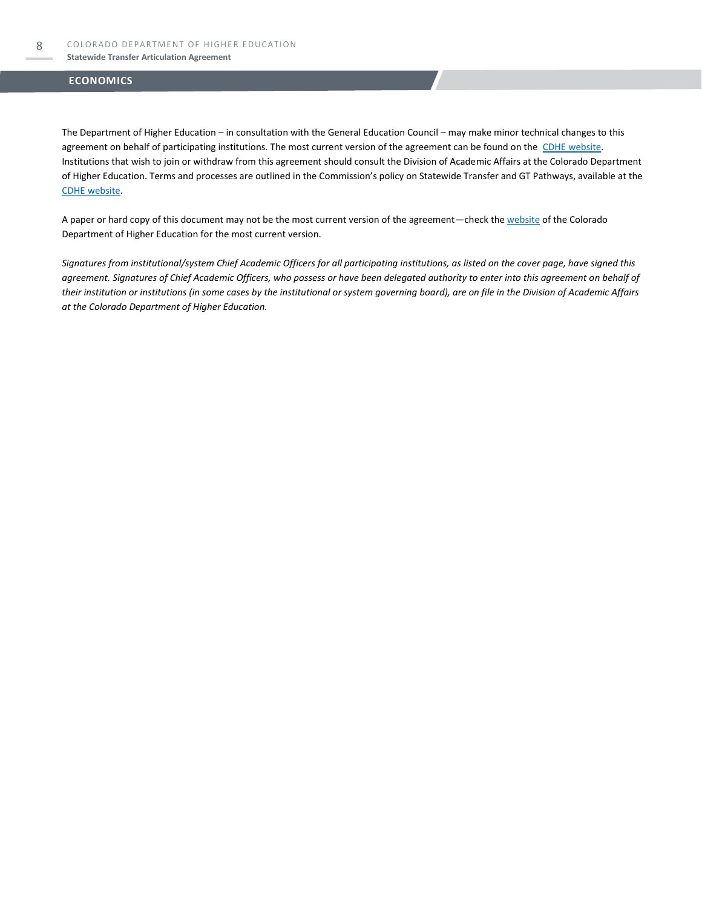#### **Statewide Transfer Articulation Agreement**

#### **ECONOMICS**

The Department of Higher Education – in consultation with the General Education Council – may make minor technical changes to this agreement on behalf of participating institutions. The most current version of the agreement can be found on the [CDHE website.](https://highered.colorado.gov/transfer-degrees) Institutions that wish to join or withdraw from this agreement should consult the Division of Academic Affairs at the Colorado Department of Higher Education. Terms and processes are outlined in the Commission's policy on Statewide Transfer and GT Pathways, available at the [CDHE website.](https://highered.colorado.gov/educators/policy-funding/general-education-ge-council/gtpathways/transfer-agreements)

A paper or hard copy of this document may not be the most current version of the agreement—check th[e website](https://highered.colorado.gov/transfer-degrees) of the Colorado Department of Higher Education for the most current version.

*Signatures from institutional/system Chief Academic Officers for all participating institutions, as listed on the cover page, have signed this agreement. Signatures of Chief Academic Officers, who possess or have been delegated authority to enter into this agreement on behalf of their institution or institutions (in some cases by the institutional or system governing board), are on file in the Division of Academic Affairs at the Colorado Department of Higher Education.*